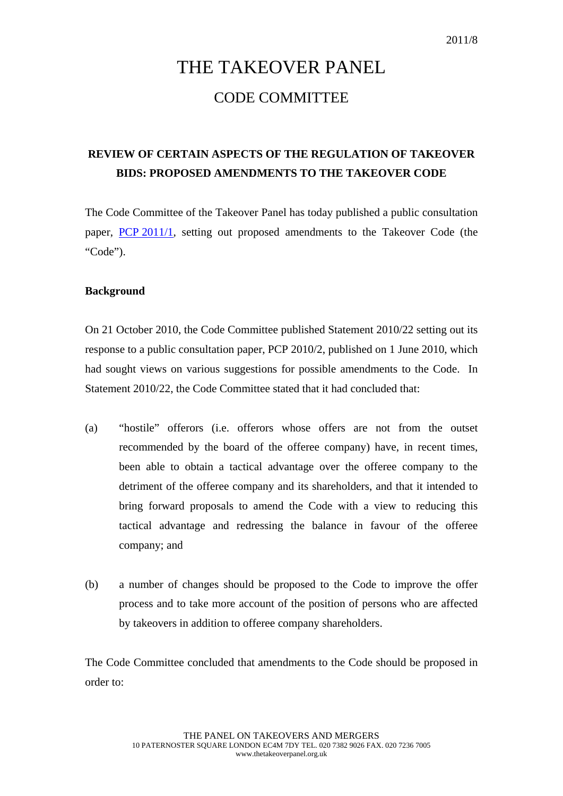# THE TAKEOVER PANEL CODE COMMITTEE

# **REVIEW OF CERTAIN ASPECTS OF THE REGULATION OF TAKEOVER BIDS: PROPOSED AMENDMENTS TO THE TAKEOVER CODE**

The Code Committee of the Takeover Panel has today published a public consultation paper, [PCP 2011/1](http://www.thetakeoverpanel.org.uk/wp-content/uploads/2008/11/PCP201101.pdf), setting out proposed amendments to the Takeover Code (the "Code").

## **Background**

On 21 October 2010, the Code Committee published Statement 2010/22 setting out its response to a public consultation paper, PCP 2010/2, published on 1 June 2010, which had sought views on various suggestions for possible amendments to the Code. In Statement 2010/22, the Code Committee stated that it had concluded that:

- (a) "hostile" offerors (i.e. offerors whose offers are not from the outset recommended by the board of the offeree company) have, in recent times, been able to obtain a tactical advantage over the offeree company to the detriment of the offeree company and its shareholders, and that it intended to bring forward proposals to amend the Code with a view to reducing this tactical advantage and redressing the balance in favour of the offeree company; and
- (b) a number of changes should be proposed to the Code to improve the offer process and to take more account of the position of persons who are affected by takeovers in addition to offeree company shareholders.

The Code Committee concluded that amendments to the Code should be proposed in order to: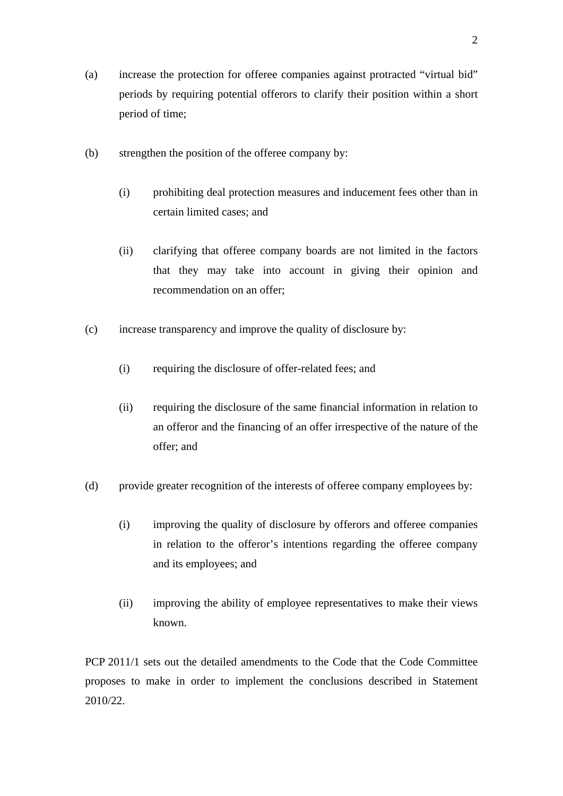- (a) increase the protection for offeree companies against protracted "virtual bid" periods by requiring potential offerors to clarify their position within a short period of time;
- (b) strengthen the position of the offeree company by:
	- (i) prohibiting deal protection measures and inducement fees other than in certain limited cases; and
	- (ii) clarifying that offeree company boards are not limited in the factors that they may take into account in giving their opinion and recommendation on an offer;
- (c) increase transparency and improve the quality of disclosure by:
	- (i) requiring the disclosure of offer-related fees; and
	- (ii) requiring the disclosure of the same financial information in relation to an offeror and the financing of an offer irrespective of the nature of the offer; and
- (d) provide greater recognition of the interests of offeree company employees by:
	- (i) improving the quality of disclosure by offerors and offeree companies in relation to the offeror's intentions regarding the offeree company and its employees; and
	- (ii) improving the ability of employee representatives to make their views known.

PCP 2011/1 sets out the detailed amendments to the Code that the Code Committee proposes to make in order to implement the conclusions described in Statement 2010/22.